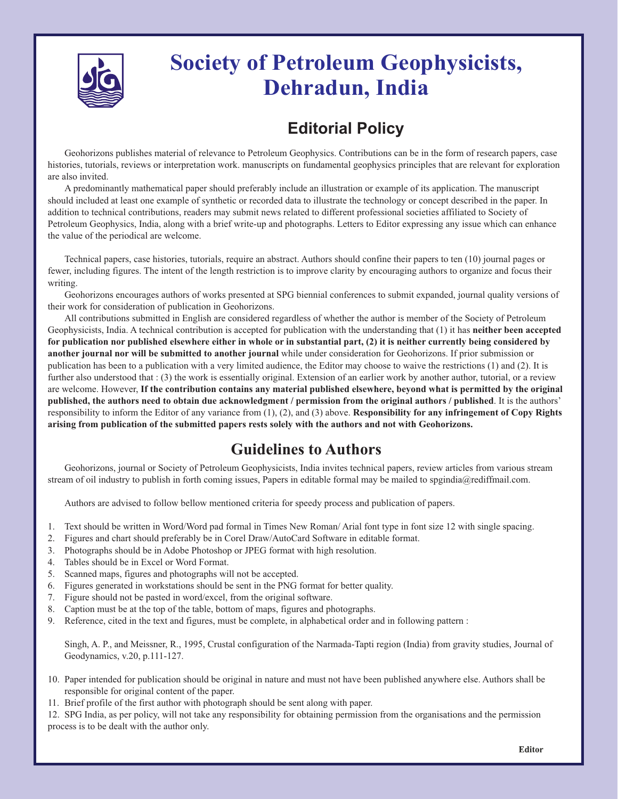

## **Society of Petroleum Geophysicists, Dehradun, India**

## **Editorial Policy**

Geohorizons publishes material of relevance to Petroleum Geophysics. Contributions can be in the form of research papers, case histories, tutorials, reviews or interpretation work. manuscripts on fundamental geophysics principles that are relevant for exploration are also invited.

A predominantly mathematical paper should preferably include an illustration or example of its application. The manuscript should included at least one example of synthetic or recorded data to illustrate the technology or concept described in the paper. In addition to technical contributions, readers may submit news related to different professional societies affiliated to Society of Petroleum Geophysics, India, along with a brief write-up and photographs. Letters to Editor expressing any issue which can enhance the value of the periodical are welcome.

Technical papers, case histories, tutorials, require an abstract. Authors should confine their papers to ten (10) journal pages or fewer, including figures. The intent of the length restriction is to improve clarity by encouraging authors to organize and focus their writing.

Geohorizons encourages authors of works presented at SPG biennial conferences to submit expanded, journal quality versions of their work for consideration of publication in Geohorizons.

All contributions submitted in English are considered regardless of whether the author is member of the Society of Petroleum Geophysicists, India. A technical contribution is accepted for publication with the understanding that (1) it has **neither been accepted for publication nor published elsewhere either in whole or in substantial part, (2) it is neither currently being considered by another journal nor will be submitted to another journal** while under consideration for Geohorizons. If prior submission or publication has been to a publication with a very limited audience, the Editor may choose to waive the restrictions (1) and (2). It is further also understood that : (3) the work is essentially original. Extension of an earlier work by another author, tutorial, or a review are welcome. However, **If the contribution contains any material published elsewhere, beyond what is permitted by the original published, the authors need to obtain due acknowledgment / permission from the original authors / published**. It is the authors' responsibility to inform the Editor of any variance from (1), (2), and (3) above. **Responsibility for any infringement of Copy Rights arising from publication of the submitted papers rests solely with the authors and not with Geohorizons.** 

## **Guidelines to Authors**

Geohorizons, journal or Society of Petroleum Geophysicists, India invites technical papers, review articles from various stream stream of oil industry to publish in forth coming issues, Papers in editable formal may be mailed to spgindia@rediffmail.com.

Authors are advised to follow bellow mentioned criteria for speedy process and publication of papers.

- 1. Text should be written in Word/Word pad formal in Times New Roman/ Arial font type in font size 12 with single spacing.
- 2. Figures and chart should preferably be in Corel Draw/AutoCard Software in editable format.
- 3. Photographs should be in Adobe Photoshop or JPEG format with high resolution.
- 4. Tables should be in Excel or Word Format.
- 5. Scanned maps, figures and photographs will not be accepted.
- 6. Figures generated in workstations should be sent in the PNG format for better quality.
- 7. Figure should not be pasted in word/excel, from the original software.
- 8. Caption must be at the top of the table, bottom of maps, figures and photographs.
- 9. Reference, cited in the text and figures, must be complete, in alphabetical order and in following pattern :

Singh, A. P., and Meissner, R., 1995, Crustal configuration of the Narmada-Tapti region (India) from gravity studies, Journal of Geodynamics, v.20, p.111-127.

- 10. Paper intended for publication should be original in nature and must not have been published anywhere else. Authors shall be responsible for original content of the paper.
- 11. Brief profile of the first author with photograph should be sent along with paper.

12. SPG India, as per policy, will not take any responsibility for obtaining permission from the organisations and the permission process is to be dealt with the author only.